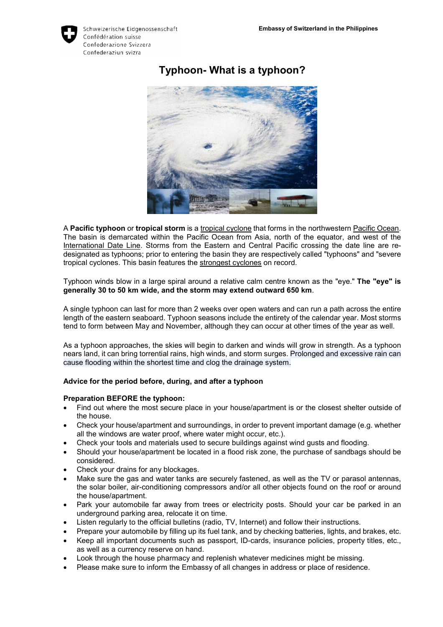

# **Typhoon- What is a typhoon?**

A **Pacific typhoon** or **tropical storm** is a tropical cyclone that forms in the northwestern Pacific Ocean. The basin is demarcated within the Pacific Ocean from Asia, north of the equator, and west of the International Date Line. Storms from the Eastern and Central Pacific crossing the date line are redesignated as typhoons; prior to entering the basin they are respectively called "typhoons" and "severe tropical cyclones. This basin features the strongest cyclones on record.

Typhoon winds blow in a large spiral around a relative calm centre known as the "eye." **The "eye" is generally 30 to 50 km wide, and the storm may extend outward 650 km**.

A single typhoon can last for more than 2 weeks over open waters and can run a path across the entire length of the eastern seaboard. Typhoon seasons include the entirety of the calendar year. Most storms tend to form between May and November, although they can occur at other times of the year as well.

As a typhoon approaches, the skies will begin to darken and winds will grow in strength. As a typhoon nears land, it can bring torrential rains, high winds, and storm surges. Prolonged and excessive rain can cause flooding within the shortest time and clog the drainage system.

## **Advice for the period before, during, and after a typhoon**

#### **Preparation BEFORE the typhoon:**

- Find out where the most secure place in your house/apartment is or the closest shelter outside of the house.
- Check your house/apartment and surroundings, in order to prevent important damage (e.g. whether all the windows are water proof, where water might occur, etc.).
- Check your tools and materials used to secure buildings against wind gusts and flooding.
- Should your house/apartment be located in a flood risk zone, the purchase of sandbags should be considered.
- Check your drains for any blockages.
- Make sure the gas and water tanks are securely fastened, as well as the TV or parasol antennas, the solar boiler, air-conditioning compressors and/or all other objects found on the roof or around the house/apartment.
- Park your automobile far away from trees or electricity posts. Should your car be parked in an underground parking area, relocate it on time.
- Listen regularly to the official bulletins (radio, TV, Internet) and follow their instructions.
- Prepare your automobile by filling up its fuel tank, and by checking batteries, lights, and brakes, etc.
- Keep all important documents such as passport, ID-cards, insurance policies, property titles, etc., as well as a currency reserve on hand.
- Look through the house pharmacy and replenish whatever medicines might be missing.
- Please make sure to inform the Embassy of all changes in address or place of residence.